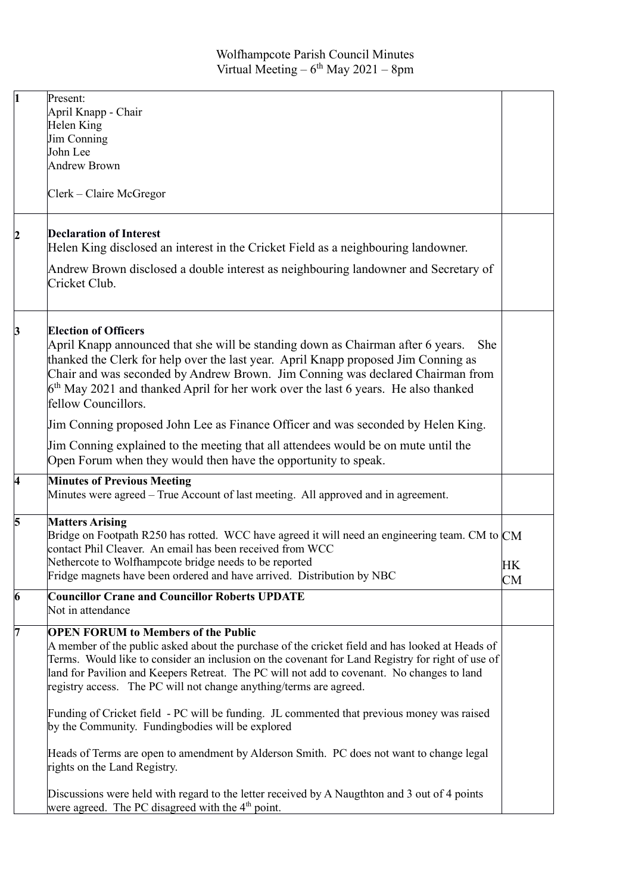| $\mathbf{1}$ | Present:<br>April Knapp - Chair<br>Helen King<br>Jim Conning<br>John Lee<br><b>Andrew Brown</b><br>Clerk – Claire McGregor                                                                                                                                                                                                                                                                                            |                        |
|--------------|-----------------------------------------------------------------------------------------------------------------------------------------------------------------------------------------------------------------------------------------------------------------------------------------------------------------------------------------------------------------------------------------------------------------------|------------------------|
| 2            | <b>Declaration of Interest</b><br>Helen King disclosed an interest in the Cricket Field as a neighbouring landowner.<br>Andrew Brown disclosed a double interest as neighbouring landowner and Secretary of<br>Cricket Club.                                                                                                                                                                                          |                        |
| 3            | <b>Election of Officers</b><br>April Knapp announced that she will be standing down as Chairman after 6 years.<br>She<br>thanked the Clerk for help over the last year. April Knapp proposed Jim Conning as<br>Chair and was seconded by Andrew Brown. Jim Conning was declared Chairman from<br>$6th$ May 2021 and thanked April for her work over the last 6 years. He also thanked<br>fellow Councillors.          |                        |
|              | Jim Conning proposed John Lee as Finance Officer and was seconded by Helen King.<br>Jim Conning explained to the meeting that all attendees would be on mute until the<br>Open Forum when they would then have the opportunity to speak.                                                                                                                                                                              |                        |
| 4            | <b>Minutes of Previous Meeting</b><br>Minutes were agreed – True Account of last meeting. All approved and in agreement.                                                                                                                                                                                                                                                                                              |                        |
| 5            | <b>Matters Arising</b><br>Bridge on Footpath R250 has rotted. WCC have agreed it will need an engineering team. CM to $CM$<br>contact Phil Cleaver. An email has been received from WCC<br>Nethercote to Wolfhampcote bridge needs to be reported<br>Fridge magnets have been ordered and have arrived. Distribution by NBC                                                                                           | <b>HK</b><br><b>CM</b> |
| 6            | <b>Councillor Crane and Councillor Roberts UPDATE</b><br>Not in attendance                                                                                                                                                                                                                                                                                                                                            |                        |
| 7            | <b>OPEN FORUM to Members of the Public</b><br>A member of the public asked about the purchase of the cricket field and has looked at Heads of<br>Terms. Would like to consider an inclusion on the covenant for Land Registry for right of use of<br>land for Pavilion and Keepers Retreat. The PC will not add to covenant. No changes to land<br>registry access. The PC will not change anything/terms are agreed. |                        |
|              | Funding of Cricket field - PC will be funding. JL commented that previous money was raised<br>by the Community. Fundingbodies will be explored                                                                                                                                                                                                                                                                        |                        |
|              | Heads of Terms are open to amendment by Alderson Smith. PC does not want to change legal<br>rights on the Land Registry.                                                                                                                                                                                                                                                                                              |                        |
|              | Discussions were held with regard to the letter received by A Naugthton and 3 out of 4 points<br>were agreed. The PC disagreed with the 4 <sup>th</sup> point.                                                                                                                                                                                                                                                        |                        |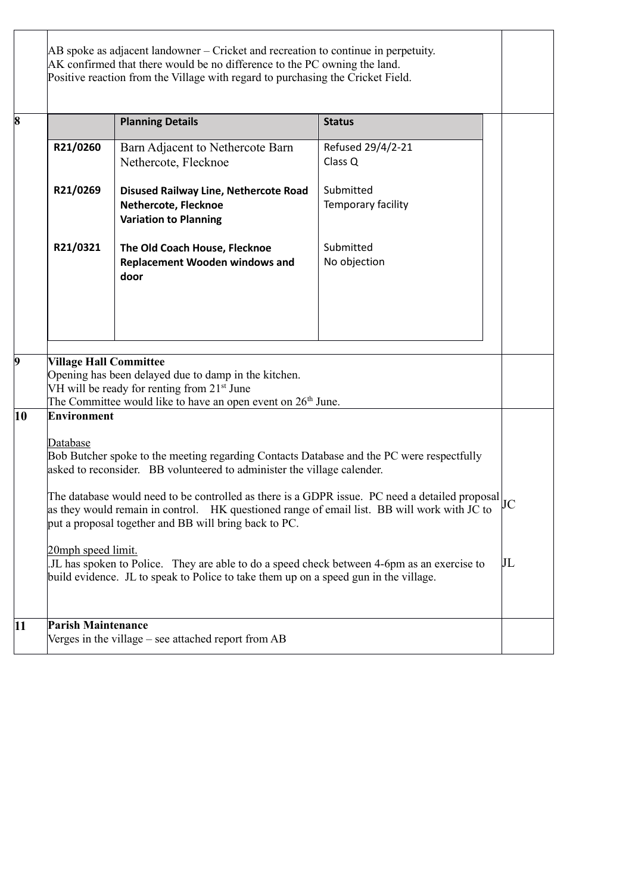|    |                                                                                                                                                                                                                                                                     | AB spoke as adjacent landowner – Cricket and recreation to continue in perpetuity.                   |                                 |  |  |
|----|---------------------------------------------------------------------------------------------------------------------------------------------------------------------------------------------------------------------------------------------------------------------|------------------------------------------------------------------------------------------------------|---------------------------------|--|--|
|    | AK confirmed that there would be no difference to the PC owning the land.<br>Positive reaction from the Village with regard to purchasing the Cricket Field.                                                                                                        |                                                                                                      |                                 |  |  |
| 8  |                                                                                                                                                                                                                                                                     | <b>Planning Details</b>                                                                              | <b>Status</b>                   |  |  |
|    | R21/0260                                                                                                                                                                                                                                                            | Barn Adjacent to Nethercote Barn<br>Nethercote, Flecknoe                                             | Refused 29/4/2-21<br>Class Q    |  |  |
|    | R21/0269                                                                                                                                                                                                                                                            | <b>Disused Railway Line, Nethercote Road</b><br>Nethercote, Flecknoe<br><b>Variation to Planning</b> | Submitted<br>Temporary facility |  |  |
|    | R21/0321                                                                                                                                                                                                                                                            | The Old Coach House, Flecknoe<br><b>Replacement Wooden windows and</b><br>door                       | Submitted<br>No objection       |  |  |
|    |                                                                                                                                                                                                                                                                     |                                                                                                      |                                 |  |  |
| 9  | <b>Village Hall Committee</b><br>Opening has been delayed due to damp in the kitchen.<br>VH will be ready for renting from 21 <sup>st</sup> June<br>The Committee would like to have an open event on 26 <sup>th</sup> June.                                        |                                                                                                      |                                 |  |  |
| 10 | <b>Environment</b><br>Database<br>Bob Butcher spoke to the meeting regarding Contacts Database and the PC were respectfully<br>asked to reconsider. BB volunteered to administer the village calender.                                                              |                                                                                                      |                                 |  |  |
|    | The database would need to be controlled as there is a GDPR issue. PC need a detailed proposal $\vert_{IC}$<br>as they would remain in control. HK questioned range of email list. BB will work with JC to<br>put a proposal together and BB will bring back to PC. |                                                                                                      |                                 |  |  |
|    | 20mph speed limit.<br>JL has spoken to Police. They are able to do a speed check between 4-6pm as an exercise to<br>build evidence. JL to speak to Police to take them up on a speed gun in the village.                                                            |                                                                                                      |                                 |  |  |
| 11 | <b>Parish Maintenance</b>                                                                                                                                                                                                                                           | Verges in the village – see attached report from AB                                                  |                                 |  |  |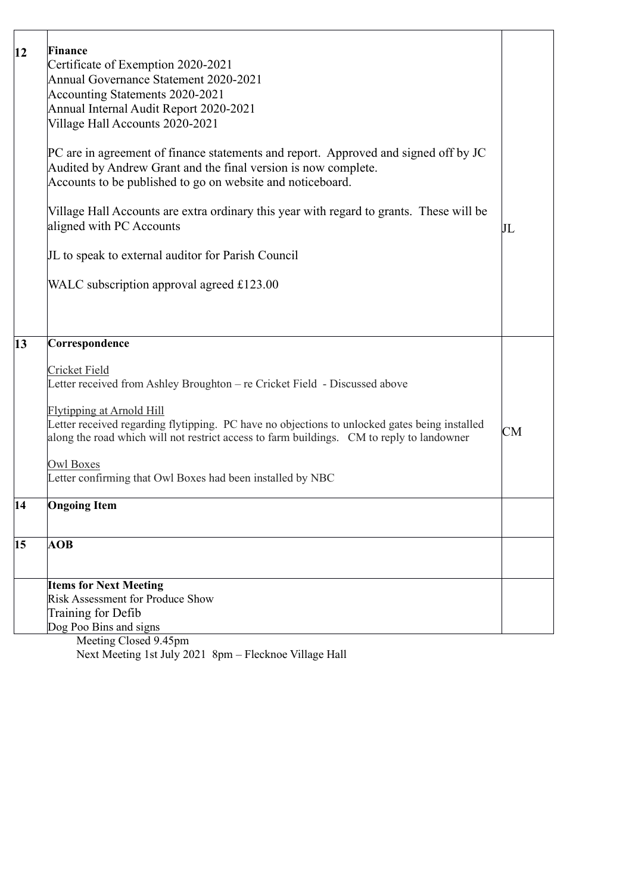| 12 | Finance<br>Certificate of Exemption 2020-2021<br>Annual Governance Statement 2020-2021<br>Accounting Statements 2020-2021<br>Annual Internal Audit Report 2020-2021<br>Village Hall Accounts 2020-2021<br>PC are in agreement of finance statements and report. Approved and signed off by JC<br>Audited by Andrew Grant and the final version is now complete.<br>Accounts to be published to go on website and noticeboard.<br>Village Hall Accounts are extra ordinary this year with regard to grants. These will be<br>aligned with PC Accounts | $\rm{JL}$ |
|----|------------------------------------------------------------------------------------------------------------------------------------------------------------------------------------------------------------------------------------------------------------------------------------------------------------------------------------------------------------------------------------------------------------------------------------------------------------------------------------------------------------------------------------------------------|-----------|
|    | JL to speak to external auditor for Parish Council                                                                                                                                                                                                                                                                                                                                                                                                                                                                                                   |           |
|    | WALC subscription approval agreed $£123.00$                                                                                                                                                                                                                                                                                                                                                                                                                                                                                                          |           |
| 13 | Correspondence                                                                                                                                                                                                                                                                                                                                                                                                                                                                                                                                       |           |
|    | Cricket Field<br>Letter received from Ashley Broughton – re Cricket Field - Discussed above<br><b>Flytipping at Arnold Hill</b><br>Letter received regarding flytipping. PC have no objections to unlocked gates being installed<br>along the road which will not restrict access to farm buildings. CM to reply to landowner<br><b>Owl Boxes</b><br>Letter confirming that Owl Boxes had been installed by NBC                                                                                                                                      | CM        |
| 14 | <b>Ongoing Item</b>                                                                                                                                                                                                                                                                                                                                                                                                                                                                                                                                  |           |
| 15 | <b>AOB</b>                                                                                                                                                                                                                                                                                                                                                                                                                                                                                                                                           |           |
|    | <b>Items for Next Meeting</b><br>Risk Assessment for Produce Show                                                                                                                                                                                                                                                                                                                                                                                                                                                                                    |           |
|    | Training for Defib                                                                                                                                                                                                                                                                                                                                                                                                                                                                                                                                   |           |
|    | Dog Poo Bins and signs<br>Meeting Closed 9.45pm                                                                                                                                                                                                                                                                                                                                                                                                                                                                                                      |           |

Next Meeting 1st July 2021 8pm – Flecknoe Village Hall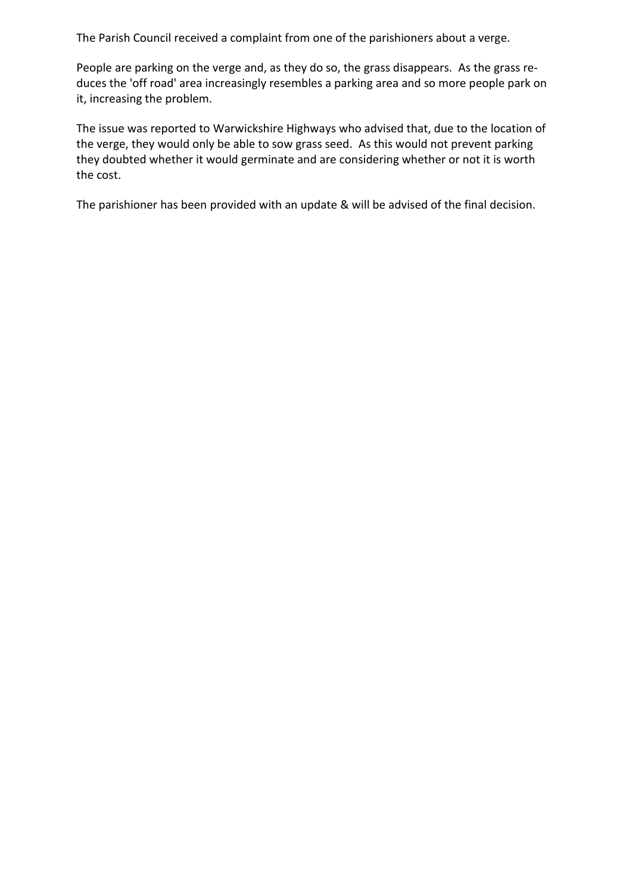The Parish Council received a complaint from one of the parishioners about a verge.

People are parking on the verge and, as they do so, the grass disappears. As the grass reduces the 'off road' area increasingly resembles a parking area and so more people park on it, increasing the problem.

The issue was reported to Warwickshire Highways who advised that, due to the location of the verge, they would only be able to sow grass seed. As this would not prevent parking they doubted whether it would germinate and are considering whether or not it is worth the cost.

The parishioner has been provided with an update & will be advised of the final decision.